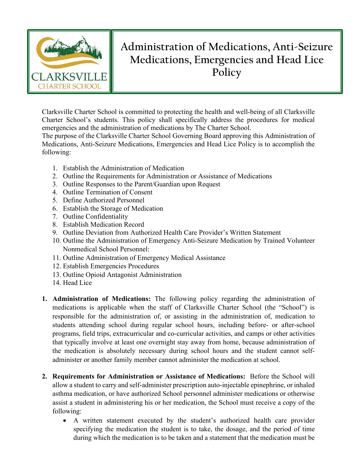

## **Administration of Medications, Anti-Seizure Medications, Emergencies and Head Lice Policy**

Clarksville Charter School is committed to protecting the health and well-being of all Clarksville Charter School's students. This policy shall specifically address the procedures for medical emergencies and the administration of medications by The Charter School.

The purpose of the Clarksville Charter School Governing Board approving this Administration of Medications, Anti-Seizure Medications, Emergencies and Head Lice Policy is to accomplish the following:

- 1. Establish the Administration of Medication
- 2. Outline the Requirements for Administration or Assistance of Medications
- 3. Outline Responses to the Parent/Guardian upon Request
- 4. Outline Termination of Consent
- 5. Define Authorized Personnel
- 6. Establish the Storage of Medication
- 7. Outline Confidentiality
- 8. Establish Medication Record
- 9. Outline Deviation from Authorized Health Care Provider's Written Statement
- 10. Outline the Administration of Emergency Anti-Seizure Medication by Trained Volunteer Nonmedical School Personnel:
- 11. Outline Administration of Emergency Medical Assistance
- 12. Establish Emergencies Procedures
- 13. Outline Opioid Antagonist Administration
- 14. Head Lice
- **1. Administration of Medications:** The following policy regarding the administration of medications is applicable when the staff of Clarksville Charter School (the "School") is responsible for the administration of, or assisting in the administration of, medication to students attending school during regular school hours, including before- or after-school programs, field trips, extracurricular and co-curricular activities, and camps or other activities that typically involve at least one overnight stay away from home, because administration of the medication is absolutely necessary during school hours and the student cannot selfadminister or another family member cannot administer the medication at school.
- **2. Requirements for Administration or Assistance of Medications:** Before the School will allow a student to carry and self-administer prescription auto-injectable epinephrine, or inhaled asthma medication, or have authorized School personnel administer medications or otherwise assist a student in administering his or her medication, the School must receive a copy of the following:
	- A written statement executed by the student's authorized health care provider specifying the medication the student is to take, the dosage, and the period of time during which the medication is to be taken and a statement that the medication must be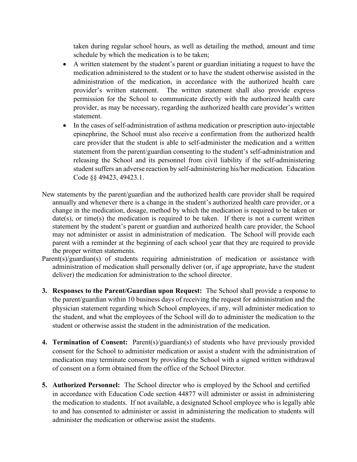taken during regular school hours, as well as detailing the method, amount and time schedule by which the medication is to be taken;

- A written statement by the student's parent or guardian initiating a request to have the medication administered to the student or to have the student otherwise assisted in the administration of the medication, in accordance with the authorized health care provider's written statement. The written statement shall also provide express permission for the School to communicate directly with the authorized health care provider, as may be necessary, regarding the authorized health care provider's written statement.
- In the cases of self-administration of asthma medication or prescription auto-injectable epinephrine, the School must also receive a confirmation from the authorized health care provider that the student is able to self-administer the medication and a written statement from the parent/guardian consenting to the student's self-administration and releasing the School and its personnel from civil liability if the self-administering student suffers an adverse reaction by self-administering his/her medication. Education Code §§ 49423, 49423.1.
- New statements by the parent/guardian and the authorized health care provider shall be required annually and whenever there is a change in the student's authorized health care provider, or a change in the medication, dosage, method by which the medication is required to be taken or date(s), or time(s) the medication is required to be taken. If there is not a current written statement by the student's parent or guardian and authorized health care provider, the School may not administer or assist in administration of medication. The School will provide each parent with a reminder at the beginning of each school year that they are required to provide the proper written statements.
- Parent(s)/guardian(s) of students requiring administration of medication or assistance with administration of medication shall personally deliver (or, if age appropriate, have the student deliver) the medication for administration to the school director.
- **3. Responses to the Parent/Guardian upon Request:** The School shall provide a response to the parent/guardian within 10 business days of receiving the request for administration and the physician statement regarding which School employees, if any, will administer medication to the student, and what the employees of the School will do to administer the medication to the student or otherwise assist the student in the administration of the medication.
- **4. Termination of Consent:** Parent(s)/guardian(s) of students who have previously provided consent for the School to administer medication or assist a student with the administration of medication may terminate consent by providing the School with a signed written withdrawal of consent on a form obtained from the office of the School Director.
- **5. Authorized Personnel:** The School director who is employed by the School and certified in accordance with Education Code section 44877 will administer or assist in administering the medication to students. If not available, a designated School employee who is legally able to and has consented to administer or assist in administering the medication to students will administer the medication or otherwise assist the students.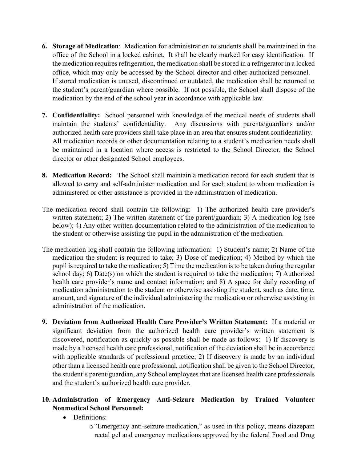- **6. Storage of Medication**: Medication for administration to students shall be maintained in the office of the School in a locked cabinet. It shall be clearly marked for easy identification. If the medication requires refrigeration, the medication shall be stored in a refrigerator in a locked office, which may only be accessed by the School director and other authorized personnel. If stored medication is unused, discontinued or outdated, the medication shall be returned to the student's parent/guardian where possible. If not possible, the School shall dispose of the medication by the end of the school year in accordance with applicable law.
- **7. Confidentiality:** School personnel with knowledge of the medical needs of students shall maintain the students' confidentiality. Any discussions with parents/guardians and/or authorized health care providers shall take place in an area that ensures student confidentiality. All medication records or other documentation relating to a student's medication needs shall be maintained in a location where access is restricted to the School Director, the School director or other designated School employees.
- **8. Medication Record:** The School shall maintain a medication record for each student that is allowed to carry and self-administer medication and for each student to whom medication is administered or other assistance is provided in the administration of medication.
- The medication record shall contain the following: 1) The authorized health care provider's written statement; 2) The written statement of the parent/guardian; 3) A medication log (see below); 4) Any other written documentation related to the administration of the medication to the student or otherwise assisting the pupil in the administration of the medication.
- The medication log shall contain the following information: 1) Student's name; 2) Name of the medication the student is required to take; 3) Dose of medication; 4) Method by which the pupil is required to take the medication; 5) Time the medication is to be taken during the regular school day; 6) Date(s) on which the student is required to take the medication; 7) Authorized health care provider's name and contact information; and 8) A space for daily recording of medication administration to the student or otherwise assisting the student, such as date, time, amount, and signature of the individual administering the medication or otherwise assisting in administration of the medication.
- **9. Deviation from Authorized Health Care Provider's Written Statement:** If a material or significant deviation from the authorized health care provider's written statement is discovered, notification as quickly as possible shall be made as follows: 1) If discovery is made by a licensed health care professional, notification of the deviation shall be in accordance with applicable standards of professional practice; 2) If discovery is made by an individual other than a licensed health care professional, notification shall be given to the School Director, the student's parent/guardian, any School employees that are licensed health care professionals and the student's authorized health care provider.

## **10. Administration of Emergency Anti-Seizure Medication by Trained Volunteer Nonmedical School Personnel:**

- Definitions:
	- o "Emergency anti-seizure medication," as used in this policy, means diazepam rectal gel and emergency medications approved by the federal Food and Drug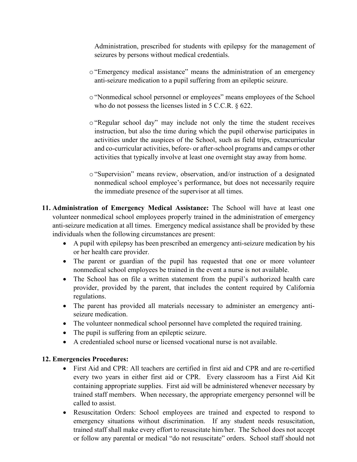Administration, prescribed for students with epilepsy for the management of seizures by persons without medical credentials.

- o"Emergency medical assistance" means the administration of an emergency anti-seizure medication to a pupil suffering from an epileptic seizure.
- o "Nonmedical school personnel or employees" means employees of the School who do not possess the licenses listed in 5 C.C.R. § 622.
- o "Regular school day" may include not only the time the student receives instruction, but also the time during which the pupil otherwise participates in activities under the auspices of the School, such as field trips, extracurricular and co-curricular activities, before- or after-school programs and camps or other activities that typically involve at least one overnight stay away from home.
- o"Supervision" means review, observation, and/or instruction of a designated nonmedical school employee's performance, but does not necessarily require the immediate presence of the supervisor at all times.
- **11. Administration of Emergency Medical Assistance:** The School will have at least one volunteer nonmedical school employees properly trained in the administration of emergency anti-seizure medication at all times. Emergency medical assistance shall be provided by these individuals when the following circumstances are present:
	- A pupil with epilepsy has been prescribed an emergency anti-seizure medication by his or her health care provider.
	- The parent or guardian of the pupil has requested that one or more volunteer nonmedical school employees be trained in the event a nurse is not available.
	- The School has on file a written statement from the pupil's authorized health care provider, provided by the parent, that includes the content required by California regulations.
	- The parent has provided all materials necessary to administer an emergency antiseizure medication.
	- The volunteer nonmedical school personnel have completed the required training.
	- The pupil is suffering from an epileptic seizure.
	- A credentialed school nurse or licensed vocational nurse is not available.

## **12. Emergencies Procedures:**

- First Aid and CPR: All teachers are certified in first aid and CPR and are re-certified every two years in either first aid or CPR. Every classroom has a First Aid Kit containing appropriate supplies. First aid will be administered whenever necessary by trained staff members. When necessary, the appropriate emergency personnel will be called to assist.
- Resuscitation Orders: School employees are trained and expected to respond to emergency situations without discrimination. If any student needs resuscitation, trained staff shall make every effort to resuscitate him/her. The School does not accept or follow any parental or medical "do not resuscitate" orders. School staff should not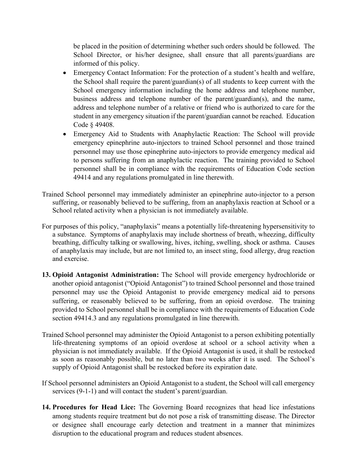be placed in the position of determining whether such orders should be followed. The School Director, or his/her designee, shall ensure that all parents/guardians are informed of this policy.

- Emergency Contact Information: For the protection of a student's health and welfare, the School shall require the parent/guardian(s) of all students to keep current with the School emergency information including the home address and telephone number, business address and telephone number of the parent/guardian(s), and the name, address and telephone number of a relative or friend who is authorized to care for the student in any emergency situation if the parent/guardian cannot be reached. Education Code § 49408.
- Emergency Aid to Students with Anaphylactic Reaction: The School will provide emergency epinephrine auto-injectors to trained School personnel and those trained personnel may use those epinephrine auto-injectors to provide emergency medical aid to persons suffering from an anaphylactic reaction. The training provided to School personnel shall be in compliance with the requirements of Education Code section 49414 and any regulations promulgated in line therewith.
- Trained School personnel may immediately administer an epinephrine auto-injector to a person suffering, or reasonably believed to be suffering, from an anaphylaxis reaction at School or a School related activity when a physician is not immediately available.
- For purposes of this policy, "anaphylaxis" means a potentially life-threatening hypersensitivity to a substance. Symptoms of anaphylaxis may include shortness of breath, wheezing, difficulty breathing, difficulty talking or swallowing, hives, itching, swelling, shock or asthma. Causes of anaphylaxis may include, but are not limited to, an insect sting, food allergy, drug reaction and exercise.
- **13. Opioid Antagonist Administration:** The School will provide emergency hydrochloride or another opioid antagonist ("Opioid Antagonist") to trained School personnel and those trained personnel may use the Opioid Antagonist to provide emergency medical aid to persons suffering, or reasonably believed to be suffering, from an opioid overdose. The training provided to School personnel shall be in compliance with the requirements of Education Code section 49414.3 and any regulations promulgated in line therewith.
- Trained School personnel may administer the Opioid Antagonist to a person exhibiting potentially life-threatening symptoms of an opioid overdose at school or a school activity when a physician is not immediately available. If the Opioid Antagonist is used, it shall be restocked as soon as reasonably possible, but no later than two weeks after it is used. The School's supply of Opioid Antagonist shall be restocked before its expiration date.
- If School personnel administers an Opioid Antagonist to a student, the School will call emergency services (9-1-1) and will contact the student's parent/guardian.
- **14. Procedures for Head Lice:** The Governing Board recognizes that head lice infestations among students require treatment but do not pose a risk of transmitting disease. The Director or designee shall encourage early detection and treatment in a manner that minimizes disruption to the educational program and reduces student absences.